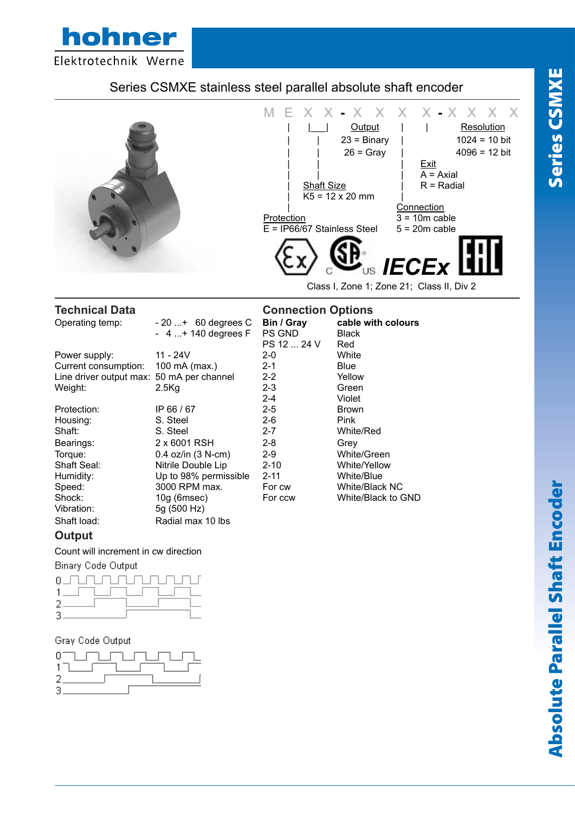

# Series CSMXE stainless steel parallel absolute shaft encoder



### **Output**

#### Count will increment in cw direction

5g (500 Hz)

**Binary Code Output** 



#### Gray Code Output